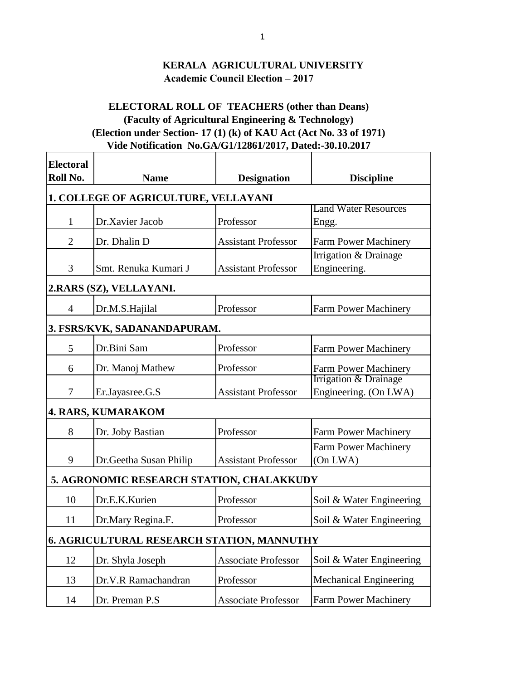## **KERALA AGRICULTURAL UNIVERSITY Academic Council Election – 2017**

٦

## **ELECTORAL ROLL OF TEACHERS (other than Deans) (Faculty of Agricultural Engineering & Technology) (Election under Section- 17 (1) (k) of KAU Act (Act No. 33 of 1971) Vide Notification No.GA/G1/12861/2017, Dated:-30.10.2017**

r

| <b>Electoral</b>                     |                                                   |                            |                                                |  |  |  |
|--------------------------------------|---------------------------------------------------|----------------------------|------------------------------------------------|--|--|--|
| Roll No.                             | <b>Name</b>                                       | <b>Designation</b>         | <b>Discipline</b>                              |  |  |  |
| 1. COLLEGE OF AGRICULTURE, VELLAYANI |                                                   |                            |                                                |  |  |  |
|                                      |                                                   |                            | <b>Land Water Resources</b>                    |  |  |  |
| 1                                    | Dr.Xavier Jacob                                   | Professor                  | Engg.                                          |  |  |  |
| $\overline{2}$                       | Dr. Dhalin D                                      | <b>Assistant Professor</b> | Farm Power Machinery                           |  |  |  |
|                                      |                                                   |                            | Irrigation & Drainage                          |  |  |  |
| 3                                    | Smt. Renuka Kumari J                              | <b>Assistant Professor</b> | Engineering.                                   |  |  |  |
|                                      | 2.RARS (SZ), VELLAYANI.                           |                            |                                                |  |  |  |
| $\overline{4}$                       | Dr.M.S.Hajilal                                    | Professor                  | <b>Farm Power Machinery</b>                    |  |  |  |
| 3. FSRS/KVK, SADANANDAPURAM.         |                                                   |                            |                                                |  |  |  |
| 5                                    | Dr.Bini Sam                                       | Professor                  | <b>Farm Power Machinery</b>                    |  |  |  |
| 6                                    | Dr. Manoj Mathew                                  | Professor                  | Farm Power Machinery                           |  |  |  |
| $\tau$                               | Er.Jayasree.G.S                                   | <b>Assistant Professor</b> | Irrigation & Drainage<br>Engineering. (On LWA) |  |  |  |
|                                      | 4. RARS, KUMARAKOM                                |                            |                                                |  |  |  |
| 8                                    | Dr. Joby Bastian                                  | Professor                  | Farm Power Machinery                           |  |  |  |
|                                      |                                                   |                            | <b>Farm Power Machinery</b>                    |  |  |  |
| 9                                    | Dr. Geetha Susan Philip                           | <b>Assistant Professor</b> | (On LWA)                                       |  |  |  |
|                                      | 5. AGRONOMIC RESEARCH STATION, CHALAKKUDY         |                            |                                                |  |  |  |
| 10                                   | Dr.E.K.Kurien                                     | Professor                  | Soil & Water Engineering                       |  |  |  |
| 11                                   | Dr.Mary Regina.F.                                 | Professor                  | Soil & Water Engineering                       |  |  |  |
|                                      | <b>6. AGRICULTURAL RESEARCH STATION, MANNUTHY</b> |                            |                                                |  |  |  |
| 12                                   | Dr. Shyla Joseph                                  | <b>Associate Professor</b> | Soil & Water Engineering                       |  |  |  |
| 13                                   | Dr.V.R Ramachandran                               | Professor                  | <b>Mechanical Engineering</b>                  |  |  |  |
| 14                                   | Dr. Preman P.S                                    | <b>Associate Professor</b> | <b>Farm Power Machinery</b>                    |  |  |  |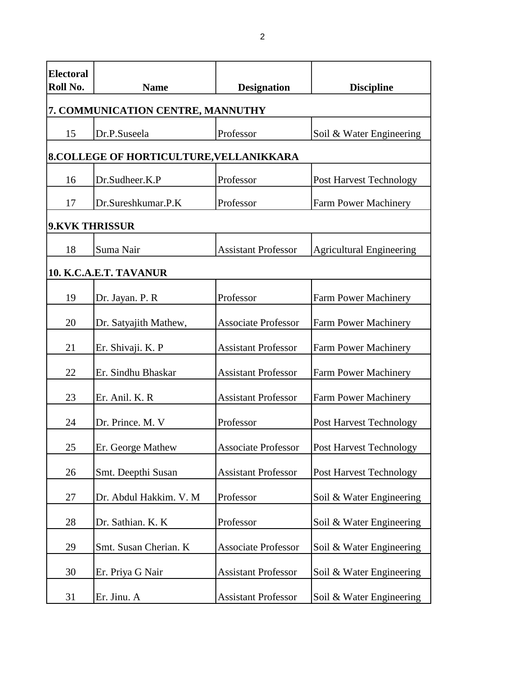| <b>Electoral</b><br>Roll No.                    | <b>Name</b>            | <b>Designation</b>         | <b>Discipline</b>               |  |  |
|-------------------------------------------------|------------------------|----------------------------|---------------------------------|--|--|
| 7. COMMUNICATION CENTRE, MANNUTHY               |                        |                            |                                 |  |  |
| 15                                              | Dr.P.Suseela           | Professor                  | Soil & Water Engineering        |  |  |
| <b>8. COLLEGE OF HORTICULTURE, VELLANIKKARA</b> |                        |                            |                                 |  |  |
| 16                                              | Dr.Sudheer.K.P         | Professor                  | <b>Post Harvest Technology</b>  |  |  |
| 17                                              | Dr.Sureshkumar.P.K     | Professor                  | <b>Farm Power Machinery</b>     |  |  |
| <b>9.KVK THRISSUR</b>                           |                        |                            |                                 |  |  |
| 18                                              | Suma Nair              | <b>Assistant Professor</b> | <b>Agricultural Engineering</b> |  |  |
| 10. K.C.A.E.T. TAVANUR                          |                        |                            |                                 |  |  |
| 19                                              | Dr. Jayan. P. R        | Professor                  | <b>Farm Power Machinery</b>     |  |  |
| 20                                              | Dr. Satyajith Mathew,  | <b>Associate Professor</b> | <b>Farm Power Machinery</b>     |  |  |
| 21                                              | Er. Shivaji. K. P      | <b>Assistant Professor</b> | <b>Farm Power Machinery</b>     |  |  |
| 22                                              | Er. Sindhu Bhaskar     | <b>Assistant Professor</b> | <b>Farm Power Machinery</b>     |  |  |
| 23                                              | Er. Anil. K. R         | <b>Assistant Professor</b> | <b>Farm Power Machinery</b>     |  |  |
| 24                                              | Dr. Prince. M. V       | Professor                  | <b>Post Harvest Technology</b>  |  |  |
| 25                                              | Er. George Mathew      | <b>Associate Professor</b> | <b>Post Harvest Technology</b>  |  |  |
| 26                                              | Smt. Deepthi Susan     | <b>Assistant Professor</b> | <b>Post Harvest Technology</b>  |  |  |
| 27                                              | Dr. Abdul Hakkim. V. M | Professor                  | Soil & Water Engineering        |  |  |
| 28                                              | Dr. Sathian. K. K      | Professor                  | Soil & Water Engineering        |  |  |
| 29                                              | Smt. Susan Cherian. K  | <b>Associate Professor</b> | Soil & Water Engineering        |  |  |
| 30                                              | Er. Priya G Nair       | <b>Assistant Professor</b> | Soil & Water Engineering        |  |  |
| 31                                              | Er. Jinu. A            | <b>Assistant Professor</b> | Soil & Water Engineering        |  |  |